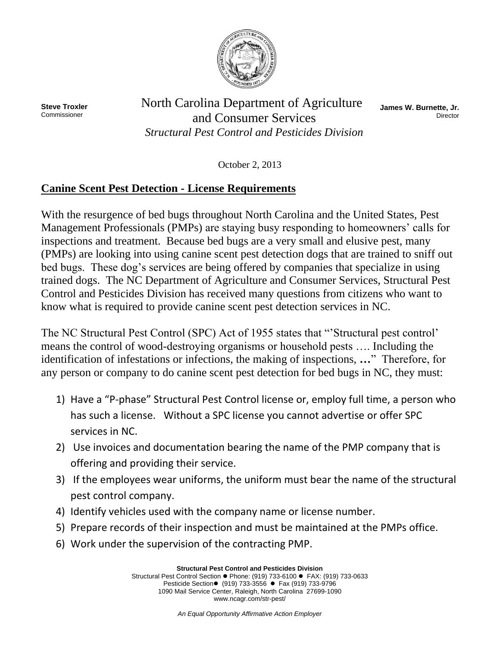

**Steve Troxler** Commissioner

North Carolina Department of Agriculture and Consumer Services *Structural Pest Control and Pesticides Division* 

**James W. Burnette, Jr. Director** 

October 2, 2013

## **Canine Scent Pest Detection - License Requirements**

With the resurgence of bed bugs throughout North Carolina and the United States, Pest Management Professionals (PMPs) are staying busy responding to homeowners' calls for inspections and treatment. Because bed bugs are a very small and elusive pest, many (PMPs) are looking into using canine scent pest detection dogs that are trained to sniff out bed bugs. These dog's services are being offered by companies that specialize in using trained dogs. The NC Department of Agriculture and Consumer Services, Structural Pest Control and Pesticides Division has received many questions from citizens who want to know what is required to provide canine scent pest detection services in NC.

The NC Structural Pest Control (SPC) Act of 1955 states that "'Structural pest control' means the control of wood-destroying organisms or household pests …. Including the identification of infestations or infections, the making of inspections, **…**" Therefore, for any person or company to do canine scent pest detection for bed bugs in NC, they must:

- 1) Have a "P-phase" Structural Pest Control license or, employ full time, a person who has such a license. Without a SPC license you cannot advertise or offer SPC services in NC.
- 2) Use invoices and documentation bearing the name of the PMP company that is offering and providing their service.
- 3) If the employees wear uniforms, the uniform must bear the name of the structural pest control company.
- 4) Identify vehicles used with the company name or license number.
- 5) Prepare records of their inspection and must be maintained at the PMPs office.
- 6) Work under the supervision of the contracting PMP.